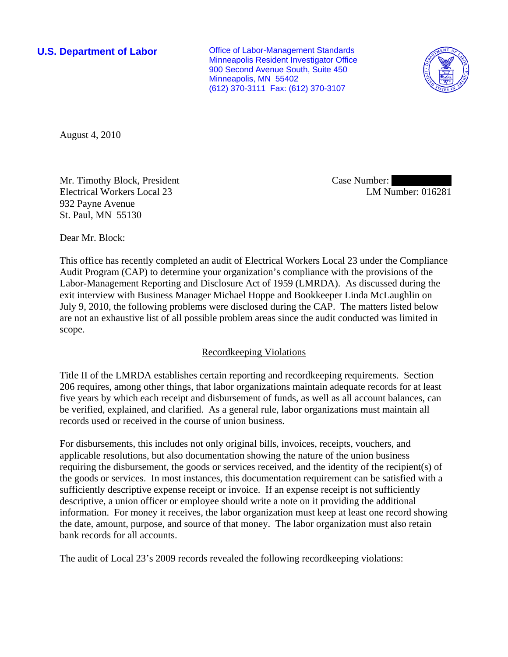**U.S. Department of Labor Conservative Conservative Conservative Conservative Conservative Conservative Conservative Conservative Conservative Conservative Conservative Conservative Conservative Conservative Conservative** Minneapolis Resident Investigator Office 900 Second Avenue South, Suite 450 Minneapolis, MN 55402 (612) 370-3111 Fax: (612) 370-3107



August 4, 2010

Mr. Timothy Block, President Electrical Workers Local 23 932 Payne Avenue St. Paul, MN 55130

Case Number: LM Number: 016281

Dear Mr. Block:

This office has recently completed an audit of Electrical Workers Local 23 under the Compliance Audit Program (CAP) to determine your organization's compliance with the provisions of the Labor-Management Reporting and Disclosure Act of 1959 (LMRDA). As discussed during the exit interview with Business Manager Michael Hoppe and Bookkeeper Linda McLaughlin on July 9, 2010, the following problems were disclosed during the CAP. The matters listed below are not an exhaustive list of all possible problem areas since the audit conducted was limited in scope.

# Recordkeeping Violations

Title II of the LMRDA establishes certain reporting and recordkeeping requirements. Section 206 requires, among other things, that labor organizations maintain adequate records for at least five years by which each receipt and disbursement of funds, as well as all account balances, can be verified, explained, and clarified. As a general rule, labor organizations must maintain all records used or received in the course of union business.

For disbursements, this includes not only original bills, invoices, receipts, vouchers, and applicable resolutions, but also documentation showing the nature of the union business requiring the disbursement, the goods or services received, and the identity of the recipient(s) of the goods or services. In most instances, this documentation requirement can be satisfied with a sufficiently descriptive expense receipt or invoice. If an expense receipt is not sufficiently descriptive, a union officer or employee should write a note on it providing the additional information. For money it receives, the labor organization must keep at least one record showing the date, amount, purpose, and source of that money. The labor organization must also retain bank records for all accounts.

The audit of Local 23's 2009 records revealed the following recordkeeping violations: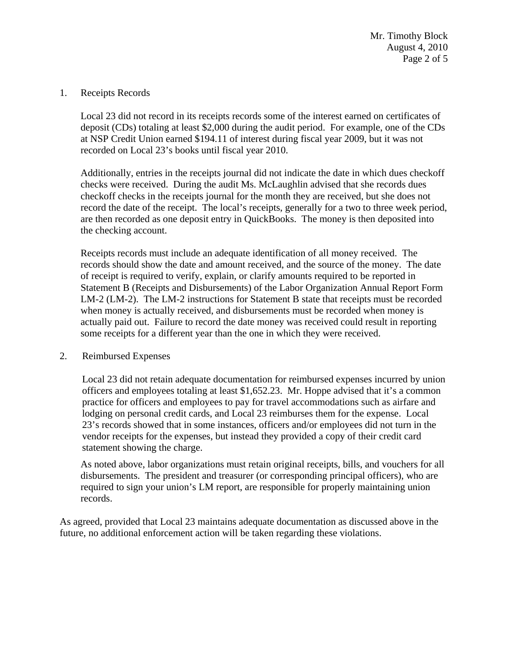Mr. Timothy Block August 4, 2010 Page 2 of 5

### 1. Receipts Records

 Local 23 did not record in its receipts records some of the interest earned on certificates of deposit (CDs) totaling at least \$2,000 during the audit period. For example, one of the CDs at NSP Credit Union earned \$194.11 of interest during fiscal year 2009, but it was not recorded on Local 23's books until fiscal year 2010.

Additionally, entries in the receipts journal did not indicate the date in which dues checkoff checks were received. During the audit Ms. McLaughlin advised that she records dues checkoff checks in the receipts journal for the month they are received, but she does not record the date of the receipt. The local's receipts, generally for a two to three week period, are then recorded as one deposit entry in QuickBooks. The money is then deposited into the checking account.

Receipts records must include an adequate identification of all money received. The records should show the date and amount received, and the source of the money. The date of receipt is required to verify, explain, or clarify amounts required to be reported in Statement B (Receipts and Disbursements) of the Labor Organization Annual Report Form LM-2 (LM-2). The LM-2 instructions for Statement B state that receipts must be recorded when money is actually received, and disbursements must be recorded when money is actually paid out. Failure to record the date money was received could result in reporting some receipts for a different year than the one in which they were received.

## 2. Reimbursed Expenses

Local 23 did not retain adequate documentation for reimbursed expenses incurred by union officers and employees totaling at least \$1,652.23. Mr. Hoppe advised that it's a common practice for officers and employees to pay for travel accommodations such as airfare and lodging on personal credit cards, and Local 23 reimburses them for the expense. Local 23's records showed that in some instances, officers and/or employees did not turn in the vendor receipts for the expenses, but instead they provided a copy of their credit card statement showing the charge.

As noted above, labor organizations must retain original receipts, bills, and vouchers for all disbursements. The president and treasurer (or corresponding principal officers), who are required to sign your union's LM report, are responsible for properly maintaining union records.

As agreed, provided that Local 23 maintains adequate documentation as discussed above in the future, no additional enforcement action will be taken regarding these violations.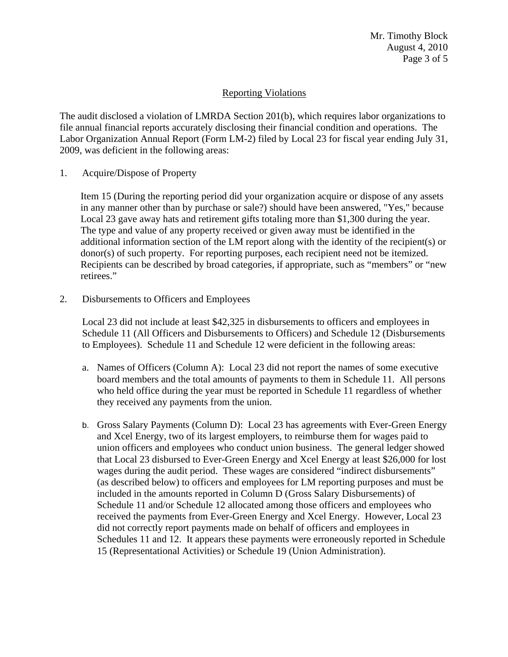# Reporting Violations

The audit disclosed a violation of LMRDA Section 201(b), which requires labor organizations to file annual financial reports accurately disclosing their financial condition and operations. The Labor Organization Annual Report (Form LM-2) filed by Local 23 for fiscal year ending July 31, 2009, was deficient in the following areas:

1. Acquire/Dispose of Property

Item 15 (During the reporting period did your organization acquire or dispose of any assets in any manner other than by purchase or sale?) should have been answered, "Yes," because Local 23 gave away hats and retirement gifts totaling more than \$1,300 during the year. The type and value of any property received or given away must be identified in the additional information section of the LM report along with the identity of the recipient(s) or donor(s) of such property. For reporting purposes, each recipient need not be itemized. Recipients can be described by broad categories, if appropriate, such as "members" or "new retirees."

2. Disbursements to Officers and Employees

Local 23 did not include at least \$42,325 in disbursements to officers and employees in Schedule 11 (All Officers and Disbursements to Officers) and Schedule 12 (Disbursements to Employees). Schedule 11 and Schedule 12 were deficient in the following areas:

- a. Names of Officers (Column A): Local 23 did not report the names of some executive board members and the total amounts of payments to them in Schedule 11. All persons who held office during the year must be reported in Schedule 11 regardless of whether they received any payments from the union.
- b. Gross Salary Payments (Column D): Local 23 has agreements with Ever-Green Energy and Xcel Energy, two of its largest employers, to reimburse them for wages paid to union officers and employees who conduct union business. The general ledger showed that Local 23 disbursed to Ever-Green Energy and Xcel Energy at least \$26,000 for lost wages during the audit period. These wages are considered "indirect disbursements" (as described below) to officers and employees for LM reporting purposes and must be included in the amounts reported in Column D (Gross Salary Disbursements) of Schedule 11 and/or Schedule 12 allocated among those officers and employees who received the payments from Ever-Green Energy and Xcel Energy. However, Local 23 did not correctly report payments made on behalf of officers and employees in Schedules 11 and 12. It appears these payments were erroneously reported in Schedule 15 (Representational Activities) or Schedule 19 (Union Administration).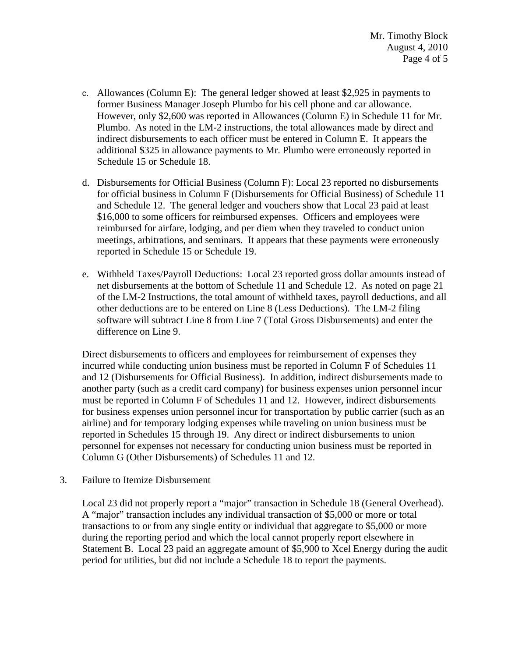- c. Allowances (Column E): The general ledger showed at least \$2,925 in payments to former Business Manager Joseph Plumbo for his cell phone and car allowance. However, only \$2,600 was reported in Allowances (Column E) in Schedule 11 for Mr. Plumbo. As noted in the LM-2 instructions, the total allowances made by direct and indirect disbursements to each officer must be entered in Column E. It appears the additional \$325 in allowance payments to Mr. Plumbo were erroneously reported in Schedule 15 or Schedule 18.
- d. Disbursements for Official Business (Column F): Local 23 reported no disbursements for official business in Column F (Disbursements for Official Business) of Schedule 11 and Schedule 12. The general ledger and vouchers show that Local 23 paid at least \$16,000 to some officers for reimbursed expenses. Officers and employees were reimbursed for airfare, lodging, and per diem when they traveled to conduct union meetings, arbitrations, and seminars. It appears that these payments were erroneously reported in Schedule 15 or Schedule 19.
- e. Withheld Taxes/Payroll Deductions: Local 23 reported gross dollar amounts instead of net disbursements at the bottom of Schedule 11 and Schedule 12. As noted on page 21 of the LM-2 Instructions, the total amount of withheld taxes, payroll deductions, and all other deductions are to be entered on Line 8 (Less Deductions). The LM-2 filing software will subtract Line 8 from Line 7 (Total Gross Disbursements) and enter the difference on Line 9.

Direct disbursements to officers and employees for reimbursement of expenses they incurred while conducting union business must be reported in Column F of Schedules 11 and 12 (Disbursements for Official Business). In addition, indirect disbursements made to another party (such as a credit card company) for business expenses union personnel incur must be reported in Column F of Schedules 11 and 12. However, indirect disbursements for business expenses union personnel incur for transportation by public carrier (such as an airline) and for temporary lodging expenses while traveling on union business must be reported in Schedules 15 through 19. Any direct or indirect disbursements to union personnel for expenses not necessary for conducting union business must be reported in Column G (Other Disbursements) of Schedules 11 and 12.

3. Failure to Itemize Disbursement

Local 23 did not properly report a "major" transaction in Schedule 18 (General Overhead). A "major" transaction includes any individual transaction of \$5,000 or more or total transactions to or from any single entity or individual that aggregate to \$5,000 or more during the reporting period and which the local cannot properly report elsewhere in Statement B. Local 23 paid an aggregate amount of \$5,900 to Xcel Energy during the audit period for utilities, but did not include a Schedule 18 to report the payments.